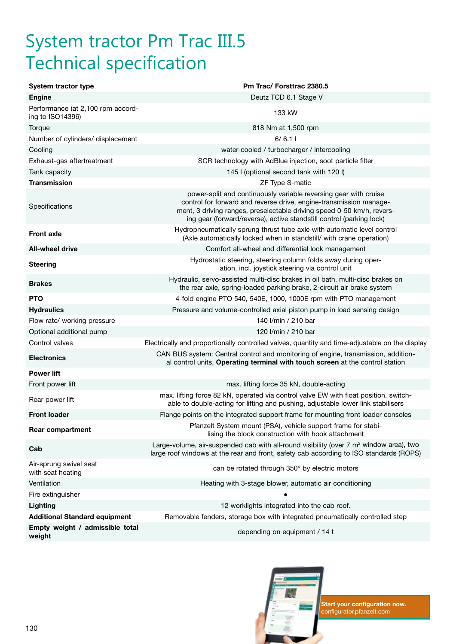## System tractor Pm Trac III.5 Technical specification

| System tractor type                                   | Pm Trac/ Forsttrac 2380.5                                                                                                                                                                                                                                                                |
|-------------------------------------------------------|------------------------------------------------------------------------------------------------------------------------------------------------------------------------------------------------------------------------------------------------------------------------------------------|
| <b>Engine</b>                                         | Deutz TCD 6.1 Stage V                                                                                                                                                                                                                                                                    |
| Performance (at 2,100 rpm accord-<br>ing to ISO14396) | 133 kW                                                                                                                                                                                                                                                                                   |
| Torque                                                | 818 Nm at 1,500 rpm                                                                                                                                                                                                                                                                      |
| Number of cylinders/ displacement                     | 6/6.11                                                                                                                                                                                                                                                                                   |
| Cooling                                               | water-cooled / turbocharger / intercooling                                                                                                                                                                                                                                               |
| Exhaust-gas aftertreatment                            | SCR technology with AdBlue injection, soot particle filter                                                                                                                                                                                                                               |
| Tank capacity                                         | 145 I (optional second tank with 120 I)                                                                                                                                                                                                                                                  |
| <b>Transmission</b>                                   | ZF Type S-matic                                                                                                                                                                                                                                                                          |
| Specifications                                        | power-split and continuously variable reversing gear with cruise<br>control for forward and reverse drive, engine-transmission manage-<br>ment, 3 driving ranges, preselectable driving speed 0-50 km/h, revers-<br>ing gear (forward/reverse), active standstill control (parking lock) |
| <b>Front axle</b>                                     | Hydropneumatically sprung thrust tube axle with automatic level control<br>(Axle automatically locked when in standstill/ with crane operation)                                                                                                                                          |
| <b>All-wheel drive</b>                                | Comfort all-wheel and differential lock management                                                                                                                                                                                                                                       |
| <b>Steering</b>                                       | Hydrostatic steering, steering column folds away during oper-<br>ation, incl. joystick steering via control unit                                                                                                                                                                         |
| <b>Brakes</b>                                         | Hydraulic, servo-assisted multi-disc brakes in oil bath, multi-disc brakes on<br>the rear axle, spring-loaded parking brake, 2-circuit air brake system                                                                                                                                  |
| <b>PTO</b>                                            | 4-fold engine PTO 540, 540E, 1000, 1000E rpm with PTO management                                                                                                                                                                                                                         |
| <b>Hydraulics</b>                                     | Pressure and volume-controlled axial piston pump in load sensing design                                                                                                                                                                                                                  |
| Flow rate/ working pressure                           | 140 I/min / 210 bar                                                                                                                                                                                                                                                                      |
| Optional additional pump                              | 120 I/min / 210 bar                                                                                                                                                                                                                                                                      |
| Control valves                                        | Electrically and proportionally controlled valves, quantity and time-adjustable on the display                                                                                                                                                                                           |
| <b>Electronics</b>                                    | CAN BUS system: Central control and monitoring of engine, transmission, addition-<br>al control units, Operating terminal with touch screen at the control station                                                                                                                       |
| <b>Power lift</b>                                     |                                                                                                                                                                                                                                                                                          |
| Front power lift                                      | max. lifting force 35 kN, double-acting                                                                                                                                                                                                                                                  |
| Rear power lift                                       | max. lifting force 82 kN, operated via control valve EW with float position, switch-<br>able to double-acting for lifting and pushing, adjustable lower link stabilisers                                                                                                                 |
| <b>Front loader</b>                                   | Flange points on the integrated support frame for mounting front loader consoles                                                                                                                                                                                                         |
| <b>Rear compartment</b>                               | Pfanzelt System mount (PSA), vehicle support frame for stabi-<br>lising the block construction with hook attachment                                                                                                                                                                      |
| Cab                                                   | Large-volume, air-suspended cab with all-round visibility (over $7 \text{ m}^2$ window area), two<br>large roof windows at the rear and front, safety cab according to ISO standards (ROPS)                                                                                              |
| Air-sprung swivel seat<br>with seat heating           | can be rotated through 350° by electric motors                                                                                                                                                                                                                                           |
| Ventilation                                           | Heating with 3-stage blower, automatic air conditioning                                                                                                                                                                                                                                  |
| Fire extinguisher                                     |                                                                                                                                                                                                                                                                                          |
| Lighting                                              | 12 worklights integrated into the cab roof.                                                                                                                                                                                                                                              |
| <b>Additional Standard equipment</b>                  | Removable fenders, storage box with integrated pneumatically controlled step                                                                                                                                                                                                             |
| Empty weight / admissible total<br>weight             | depending on equipment / 14 t                                                                                                                                                                                                                                                            |



**KRACK Start your configuration now.**<br> **KRACK STARK STARK STARK STARK STARK STARK STARK STARK STARK STARK STARK STARK STARK STARK STARK STARK STARK ST** configurator.pfanzelt.com